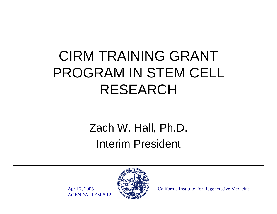### CIRM TRAINING GRANT PROGRAM IN STEM CELL RESEARCH

#### Zach W. Hall, Ph.D. Interim President

April 7, 2005 AGENDA ITEM # 12



California Institute For Regenerative Medicine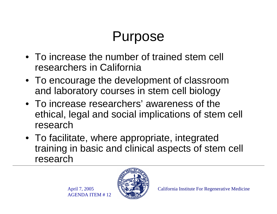### Purpose

- To increase the number of trained stem cell researchers in California
- To encourage the development of classroom and laboratory courses in stem cell biology
- To increase researchers' awareness of the ethical, legal and social implications of stem cell research
- To facilitate, where appropriate, integrated training in basic and clinical aspects of stem cell research

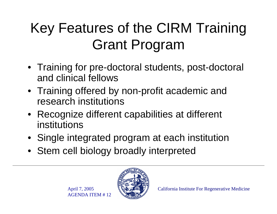## Key Features of the CIRM Training Grant Program

- Training for pre-doctoral students, post-doctoral and clinical fellows
- Training offered by non-profit academic and research institutions
- Recognize different capabilities at different institutions
- Single integrated program at each institution
- Stem cell biology broadly interpreted

April 7, 2005 AGENDA ITEM # 12

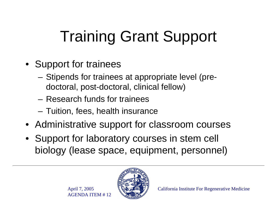# Training Grant Support

- Support for trainees
	- **Links of the Common**  Stipends for trainees at appropriate level (predoctoral, post-doctoral, clinical fellow)
	- Research funds for trainees
	- –Tuition, fees, health insurance
- Administrative support for classroom courses
- Support for laboratory courses in stem cell biology (lease space, equipment, personnel)

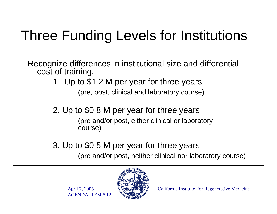## Three Funding Levels for Institutions

Recognize differences in institutional size and differential cost of training.

- 1. Up to \$1.2 M per year for three years (pre, post, clinical and laboratory course)
- 2. Up to \$0.8 M per year for three years (pre and/or post, either clinical or laboratory course)
- 3. Up to \$0.5 M per year for three years (pre and/or post, neither clinical nor laboratory course)

April 7, 2005 AGENDA ITEM # 12

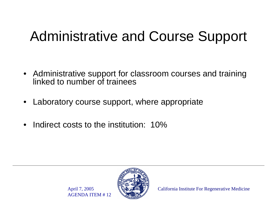### Administrative and Course Support

- Administrative support for classroom courses and training linked to number of trainees
- •Laboratory course support, where appropriate
- $\bullet$ Indirect costs to the institution: 10%

April 7, 2005

AGENDA ITEM # 12